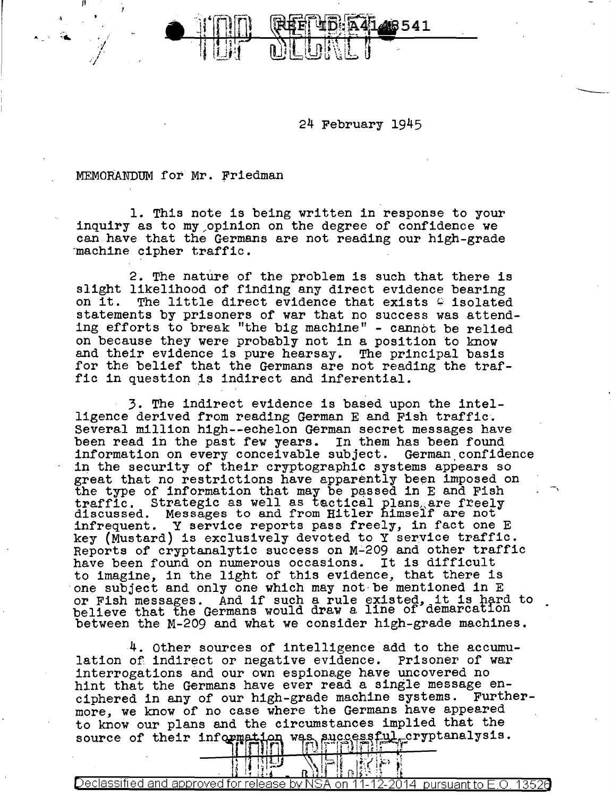24 February 1945

141418541

MEMORANDUM for Mr. friedman

 $-$ 

II

./ .<br>j .  $\int$ 

1. This note is being written in response to your inquiry as to my/opinion on the degree of confidence we can have that the Germans are not reading our high-grade machine cipher traffic.

2. The nature of the problem is such that there is slight likelihood of finding any direct evidence bearing on it. The little direct evidence that exists  $\frac{c}{r}$  isolated The little direct evidence that exists  $\epsilon$  isolated statements by prisoners of war that no success was attending efforts to break "the big machine" - cannot be relied on because they were probably not in a position to know and their evidence is pure hearsay. The principal basis for the belief that the Germans are not reading the traffic in question is indirect and inferential.

3. The indirect evidence is based upon the intelligence derived from reading German E and Fish traffic. Several million high--echelon German secret messages have been read in the past few years. In them has been found information on every conceivable subject. German.confidence in the security of their cryptographic systems appears so great that no restrictions have apparently been imposed on the type of information that may be passed in E and Fish traffic. Strategic as well as tactical plans, are freely discussed. Messages to and from Hitler himself are not infrequent. Y service reports pass freely, in fact one E key (Mustard) is exclusively devoted to Y service traffic. Reports of cryptanalytic success on M~209 and other traffic have been found on numerous occasions. It is difficult to imagine, in the light of this evidence, that there is one subject and only one which may not· be mentioned in E one subject and only one which may not be mentioned in E<br>or Fish messages. And if such a rule existed, it is hard to believe that the Germans would draw a line of demarcation between the M-209 and what we consider high-grade machines.

-,

4. Other sources of intelligence add to the accumulation of indirect or negative evidence. Prisoner of war interrogations and our own espionage have uncovered no hint that the Germans have ever read a single message en-<br>ciphered in any of our high-grade machine systems. Furtherciphered in any of our high-grade machine systems. more, we know of no case where the Germans have appeared to know our plans and the circumstances implied that the source of their information was successful, cryptanalysis.

 $\mathbb{E} \left[ \mathbb{E} \left[ \mathbb{E} \right] \right] \text{ and } \mathbb{E} \left[ \mathbb{E} \left[ \mathbb{E} \left[ \mathbb{E} \right] \right] \right]$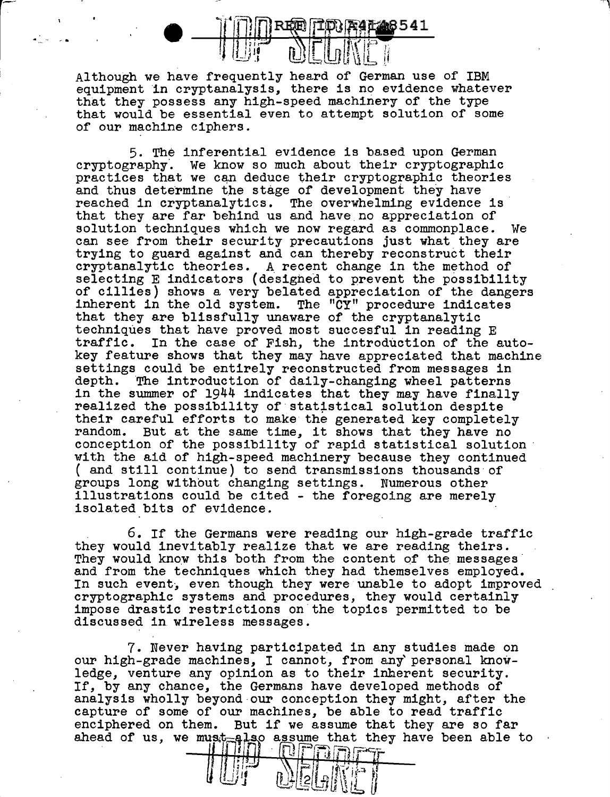

Although we have frequently heard of German use of IBM equipment in cryptanalysis, there is no evidence whatever that they possess any high-speed machinery of the type that would be essential even to attempt solution of some of our machine ciphers.

5. The inferential evidence is based upon German cryptography. We know so much about their cryptographic practices that we can deduce their cryptographic theories and thus determine the stage of development they have reached in cryptanalytics. The overwhelming evidence is· that they are far behind us and have no appreciation of solution techniques which we *now* regard as commonplace. We can see from their security precautions just what they are trying to guard against and can thereby reconstruct their cryptanalytic theories. A recent change in the method of selecting E indicators (designed to prevent the possibility of cillies) shows a very belated appreciation of the dangers inherent in the old system. The "CY" procedure indicates that they are blissfully unaware of the cryptanalytic techniques that have proved most succesful in reading E traffic. In the case of Fish, the introduction of the In the case of Fish, the introduction of the autokey feature shows that they may have appreciated that machine settings could be entirely reconstructed from messages in depth. The introduction of daily-changing wheel patterns The introduction of daily-changing wheel patterns in the summer of  $1944$  indicates that they may have finally realized the possibility of statistical solution despite their careful efforts to make the generated key completely random. But at the same time, it shows that they have no random. But at the same time, it shows that they have no conception of the possibility of rapid statistical solution with the aid of high-speed machinery because they continued ( and still continue) to send transmissions thousands of groups long without changing settings. Numerous other groups long without changing settings. illustrations could be cited - the foregoing are merely isolated bits of evidence.

6. If the Germans were reading our high-grade traffic they would inevitably realize that we are reading theirs.<br>They would know this both from the content of the messages and from the techniques which they had themselves employed. In such event, even though they were unable to adopt improved cryptographic systems and procedures, they would certainly impose drastic restrictions on the topics permitted to be discussed in. wireless messages.

7. Never having participated in any studies made on our high-grade machines, I cannot, from any personal knowledge, venture any opinion as to their inherent security. If, by any chance, the Germans have developed methods of analysis wholly beyond our conception they might, after the capture of some of our machines, be able to read traffic enciphered on them. But if we assume that they are so far ahead of us, we mus~k~ o assume that they have been able to I , n . . rr=:>r......, '- ~..;.c·- ' ~ i ! :j . ' t :I'"""' *s* .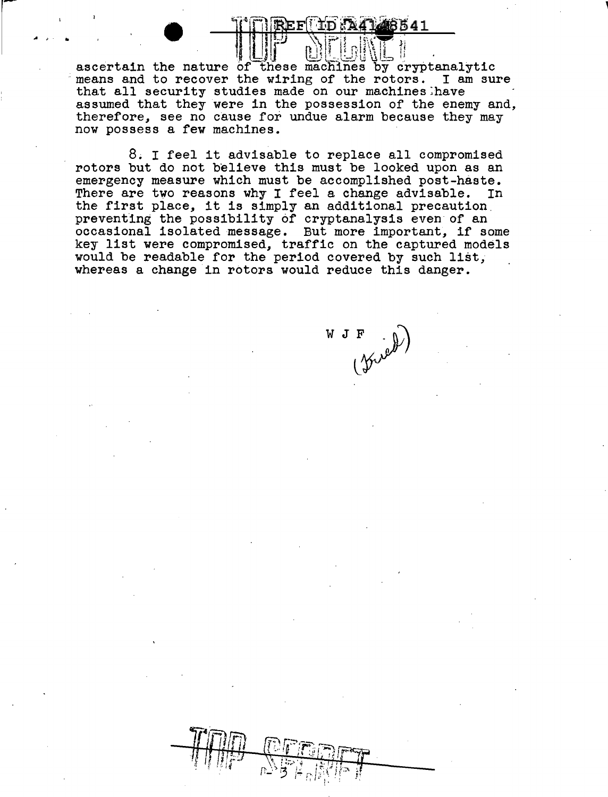UF 01.0KT ascertain the nature of these machines by cryptanalytic means and to recover the wiring of the rotors. I am sure that all security studies made on our machines:have assumed that they were in the possession of the enemy and, therefore, see no cause for undue alarm because they may now possess a few machines.

........ -?) \\ ·1;:;...i ''~(~ ~

8. I feel it advisable to replace all compromised rotors but do not believe this must be looked upon as an emergency measure which must be accomplished post-haste.<br>There are two reasons why I feel a change advisable. In There are two reasons why I feel a change advisable. There are two reasons why I feel a change advisable. I.<br>the first place, it is simply an additional precaution. preventing the possibility of cryptanalysis even of an occasional isolated message. But more important, if some key list were compromised, traffic on the captured models would be readable for the period covered by such list, whereas a change in rotors would reduce this danger.

WJF  $\curvearrowleft$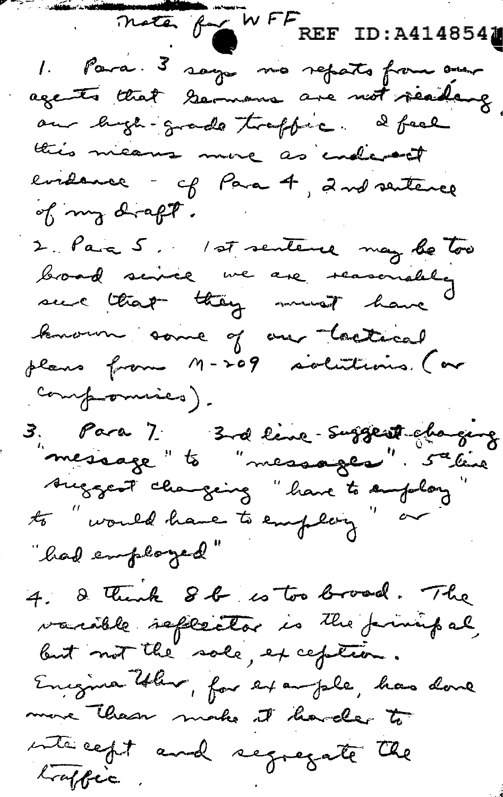moter for WFF REF ID: A4148541 1. Para. 3 says mo reparts from one agents that Germans are not reading this means more as endered evidence - of Para 4, 2nd sentence of my draft. 2. Para 5. 1st sentence may be too broad service we are reasonably sure that they must have known some of an lookical plans from M-209 solutions. (or compounies). 3. Para 7. 3rd line-suggest chaquez<br>"message" to "messages". 5ª line Auggest changing "have to employ to " would have to employ" or "had employed" 4. I think 8 b is too broad. The varible seffector is the finished but not the sale, exception. Engineer them, for example, has done more than make it havde to interest and regregate the loaffre.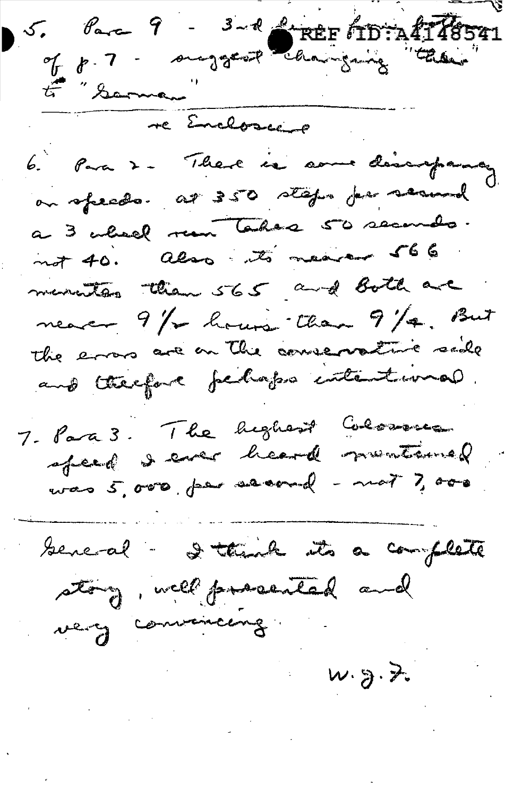5. Parce 9 - 3-2 PREF TD: A 178541 E "Sama" re Encloseer 6. Para 2 - There is some discrepance, on speeds. at 350 staps por seamed a 3 wheel run takes 50 seconds. not 40. also its neares 566. manutes than 565 and Both are nearer 9/2 hours than 9/4. But The errors are on the conversative side and therefore fechaps intentional. 7- Para 3. The highest Colosses was 5,000, per evenuel - mot 7,000 beneal - I think its a complete story, well prosented and very convenience  $w_{3}$ . 2.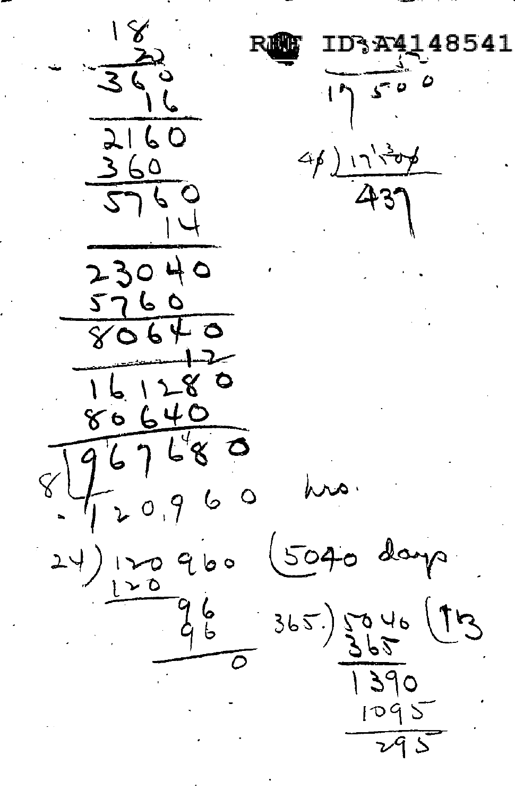541  $2160$  $60$  $\boldsymbol{\zeta}$ 40 230 つしぃ 2  $80640$  $6.1$  $\ddot{\circ}$ <u>r8</u>  $\overline{ }$  $640$ ४०  $\mathscr{E}^{\bar{\mathcal{V}}}$ لم<br>ما ひ  $\zeta$ G  $\sim$  $\circ$  $\mathcal{L}$ 9 Ó  $504$ daya ہ ط 9  $\sim$  0 <u>६</u><br>५  $365)$   $\frac{5}{2}$ in,  $390$  $1095$ Š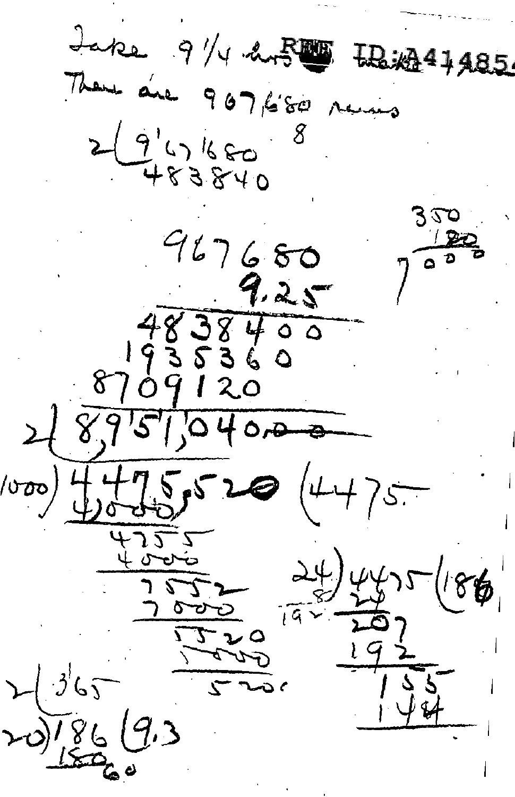$J$ ake  $9$  /4 ans **LR: 247485** There are 907,680 runs  $(9458840$  $525$  $967680$  $7.25 38400$  $8709120$  $895704$ 0,0  $\frac{1}{\sqrt{200}}$  $(4475 520$  $\hat{r}$ 86 Ø  $\sqrt{a}$ J ہ ۔ ، مت 1861  $9.3$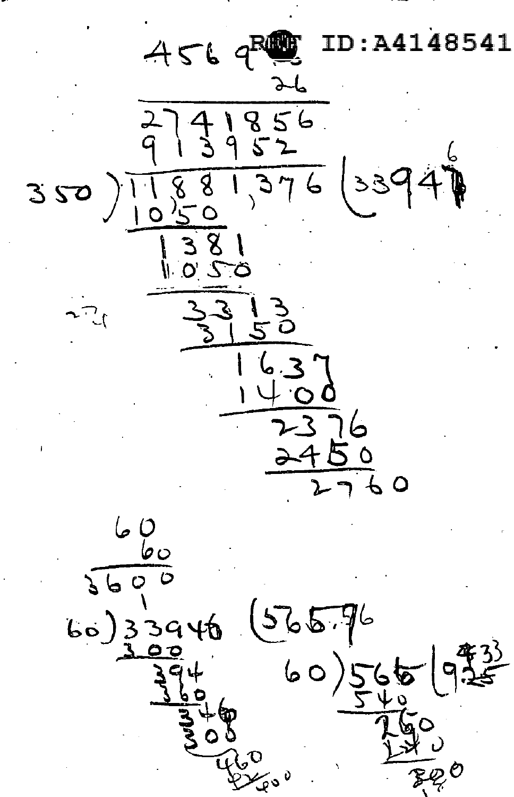:A4148541  $456$  $856$ <br> $52$  $\frac{1}{9}$  $881,376$  (3394) 350  $\sqrt{\frac{8}{}}$  $\begin{array}{c} \hline \phantom{0}3 \\ \phantom{0}0 \end{array}$  $rac{\sqrt{2}}{6}$  $60$ <br>  $60$ <br>  $60$ <br>  $60$ <br>  $60$ <br>  $60$ <br>  $60$ <br>  $60$ <br>  $60$ <br>  $60$ <br>  $60$ <br>  $60$ <br>  $60$ <br>  $60$ <br>  $60$ <br>  $60$ <br>  $60$ <br>  $60$ <br>  $60$  $(56576)$  $60)565$ <u> なる</u><br>25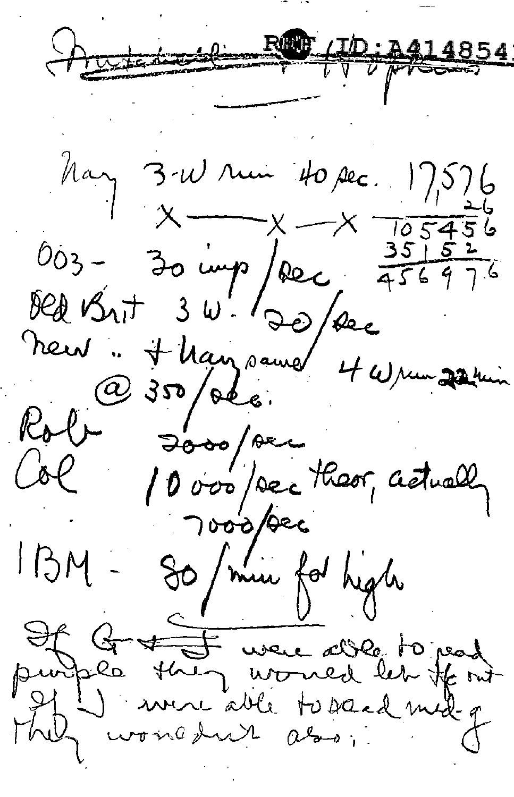Autor 10; 2414854

May 3-W rui 40 sec. 17,576  $X - X = 105456$ 003 - 30 imp/rec 456976 new H Marz same 4 Wrem 22 ruin  $(a)$ Rob-<br>Col Josepher<br>10 vos/sec theor, actually 7000/bec So / min for high  $1BM$  -Of Group were able to pead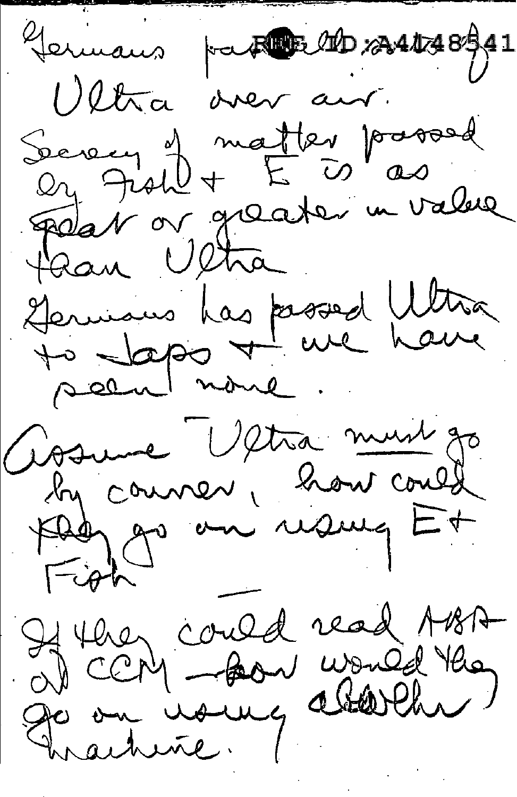Jermans part to 2010 2010 2010 Oltra over an Serecy of matter passed Fedat or greater in value flan Ultra Germans has passed With seen none. Goswie Ultra must go by counser, how could Fight If they could read ABA